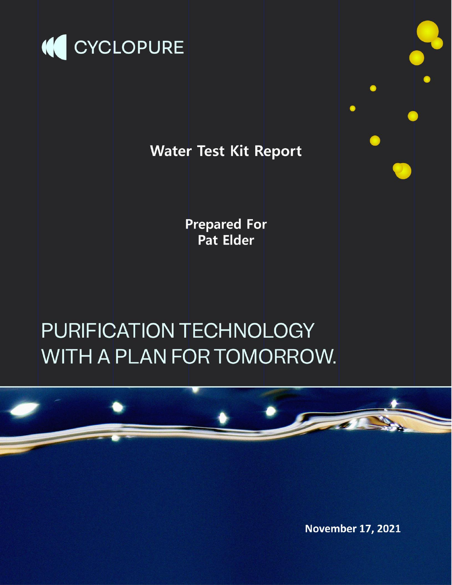

# **Water Test Kit Report**

**Prepared For** Pat Elder

# PURIFICATION TECHNOLOGY WITH A PLAN FOR TOMORROW.



**November 17, 2021** 

 $\bullet$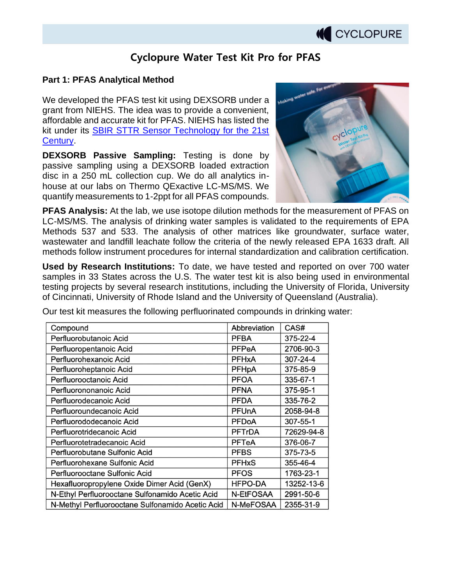

### **Cyclopure Water Test Kit Pro for PFAS**

#### **Part 1: PFAS Analytical Method**

We developed the PFAS test kit using DEXSORB under a grant from NIEHS. The idea was to provide a convenient, affordable and accurate kit for PFAS. NIEHS has listed the kit under its SBIR STTR Sensor Technology for the 21st Century.

**DEXSORB Passive Sampling:** Testing is done by passive sampling using a DEXSORB loaded extraction disc in a 250 mL collection cup. We do all analytics inhouse at our labs on Thermo QExactive LC-MS/MS. We quantify measurements to 1-2ppt for all PFAS compounds.



**PFAS Analysis:** At the lab, we use isotope dilution methods for the measurement of PFAS on LC-MS/MS. The analysis of drinking water samples is validated to the requirements of EPA Methods 537 and 533. The analysis of other matrices like groundwater, surface water, wastewater and landfill leachate follow the criteria of the newly released EPA 1633 draft. All methods follow instrument procedures for internal standardization and calibration certification.

**Used by Research Institutions:** To date, we have tested and reported on over 700 water samples in 33 States across the U.S. The water test kit is also being used in environmental testing projects by several research institutions, including the University of Florida, University of Cincinnati, University of Rhode Island and the University of Queensland (Australia).

Our test kit measures the following perfluorinated compounds in drinking water:

| Compound                                         | Abbreviation   | CAS#       |
|--------------------------------------------------|----------------|------------|
| Perfluorobutanoic Acid                           | <b>PFBA</b>    | 375-22-4   |
| Perfluoropentanoic Acid                          | <b>PFPeA</b>   | 2706-90-3  |
| Perfluorohexanoic Acid                           | <b>PFHxA</b>   | 307-24-4   |
| Perfluoroheptanoic Acid                          | <b>PFHpA</b>   | 375-85-9   |
| Perfluorooctanoic Acid                           | <b>PFOA</b>    | 335-67-1   |
| Perfluorononanoic Acid                           | <b>PFNA</b>    | 375-95-1   |
| Perfluorodecanoic Acid                           | <b>PFDA</b>    | 335-76-2   |
| Perfluoroundecanoic Acid                         | <b>PFUnA</b>   | 2058-94-8  |
| Perfluorododecanoic Acid                         | <b>PFDoA</b>   | 307-55-1   |
| Perfluorotridecanoic Acid                        | <b>PFTrDA</b>  | 72629-94-8 |
| Perfluorotetradecanoic Acid                      | <b>PFTeA</b>   | 376-06-7   |
| Perfluorobutane Sulfonic Acid                    | <b>PFBS</b>    | 375-73-5   |
| Perfluorohexane Sulfonic Acid                    | <b>PFHxS</b>   | 355-46-4   |
| Perfluorooctane Sulfonic Acid                    | <b>PFOS</b>    | 1763-23-1  |
| Hexafluoropropylene Oxide Dimer Acid (GenX)      | <b>HFPO-DA</b> | 13252-13-6 |
| N-Ethyl Perfluorooctane Sulfonamido Acetic Acid  | N-EtFOSAA      | 2991-50-6  |
| N-Methyl Perfluorooctane Sulfonamido Acetic Acid | N-MeFOSAA      | 2355-31-9  |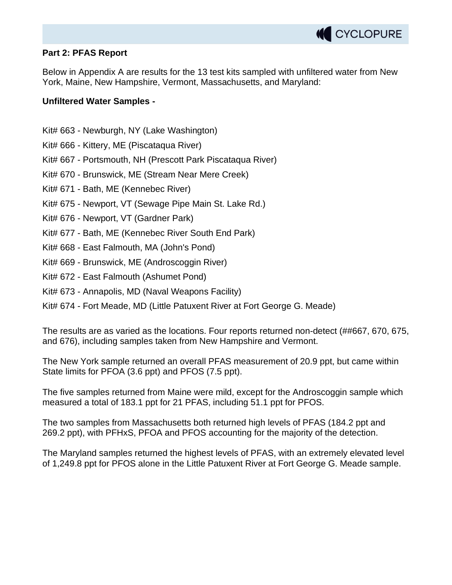

#### **Part 2: PFAS Report**

Below in Appendix A are results for the 13 test kits sampled with unfiltered water from New York, Maine, New Hampshire, Vermont, Massachusetts, and Maryland:

#### **Unfiltered Water Samples -**

- Kit# 663 Newburgh, NY (Lake Washington)
- Kit# 666 Kittery, ME (Piscataqua River)
- Kit# 667 Portsmouth, NH (Prescott Park Piscataqua River)
- Kit# 670 Brunswick, ME (Stream Near Mere Creek)
- Kit# 671 Bath, ME (Kennebec River)
- Kit# 675 Newport, VT (Sewage Pipe Main St. Lake Rd.)
- Kit# 676 Newport, VT (Gardner Park)
- Kit# 677 Bath, ME (Kennebec River South End Park)
- Kit# 668 East Falmouth, MA (John's Pond)
- Kit# 669 Brunswick, ME (Androscoggin River)
- Kit# 672 East Falmouth (Ashumet Pond)
- Kit# 673 Annapolis, MD (Naval Weapons Facility)
- Kit# 674 Fort Meade, MD (Little Patuxent River at Fort George G. Meade)

The results are as varied as the locations. Four reports returned non-detect (##667, 670, 675, and 676), including samples taken from New Hampshire and Vermont.

The New York sample returned an overall PFAS measurement of 20.9 ppt, but came within State limits for PFOA (3.6 ppt) and PFOS (7.5 ppt).

The five samples returned from Maine were mild, except for the Androscoggin sample which measured a total of 183.1 ppt for 21 PFAS, including 51.1 ppt for PFOS.

The two samples from Massachusetts both returned high levels of PFAS (184.2 ppt and 269.2 ppt), with PFHxS, PFOA and PFOS accounting for the majority of the detection.

The Maryland samples returned the highest levels of PFAS, with an extremely elevated level of 1,249.8 ppt for PFOS alone in the Little Patuxent River at Fort George G. Meade sample.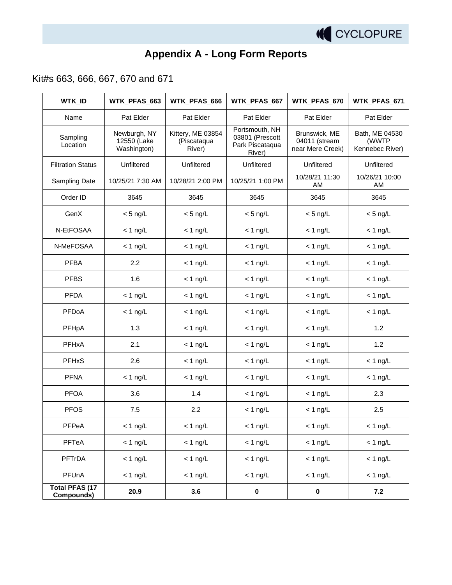

# **Appendix A - Long Form Reports**

Kit#s 663, 666, 667, 670 and 671

| <b>WTK_ID</b>                       | WTK_PFAS_663                               | WTK_PFAS_666                               | WTK_PFAS_667                                                   | WTK_PFAS_670                                       | WTK_PFAS_671                               |
|-------------------------------------|--------------------------------------------|--------------------------------------------|----------------------------------------------------------------|----------------------------------------------------|--------------------------------------------|
| Name                                | Pat Elder                                  | Pat Elder                                  | Pat Elder                                                      | Pat Elder                                          | Pat Elder                                  |
| Sampling<br>Location                | Newburgh, NY<br>12550 (Lake<br>Washington) | Kittery, ME 03854<br>(Piscataqua<br>River) | Portsmouth, NH<br>03801 (Prescott<br>Park Piscataqua<br>River) | Brunswick, ME<br>04011 (stream<br>near Mere Creek) | Bath, ME 04530<br>(WWTP<br>Kennebec River) |
| <b>Filtration Status</b>            | Unfiltered                                 | Unfiltered                                 | Unfiltered                                                     | Unfiltered                                         | Unfiltered                                 |
| Sampling Date                       | 10/25/21 7:30 AM                           | 10/28/21 2:00 PM                           | 10/25/21 1:00 PM                                               | 10/28/21 11:30<br>AM                               | 10/26/21 10:00<br>AM                       |
| Order ID                            | 3645                                       | 3645                                       | 3645                                                           | 3645                                               | 3645                                       |
| GenX                                | $<$ 5 ng/L                                 | $<$ 5 ng/L                                 | $<$ 5 ng/L                                                     | $<$ 5 ng/L                                         | $<$ 5 ng/L                                 |
| N-EtFOSAA                           | $<$ 1 ng/L                                 | $<$ 1 ng/L                                 | $<$ 1 ng/L                                                     | $<$ 1 ng/L                                         | $<$ 1 ng/L                                 |
| N-MeFOSAA                           | $<$ 1 ng/L                                 | $<$ 1 ng/L                                 | $<$ 1 ng/L                                                     | $<$ 1 ng/L                                         | $< 1$ ng/L                                 |
| <b>PFBA</b>                         | 2.2                                        | $<$ 1 ng/L                                 | $<$ 1 ng/L                                                     | $<$ 1 ng/L                                         | $<$ 1 ng/L                                 |
| <b>PFBS</b>                         | 1.6                                        | $<$ 1 ng/L                                 | $< 1$ ng/L                                                     | $<$ 1 ng/L                                         | $<$ 1 ng/L                                 |
| <b>PFDA</b>                         | $<$ 1 ng/L                                 | $<$ 1 ng/L                                 | $<$ 1 ng/L                                                     | $<$ 1 ng/L                                         | $<$ 1 ng/L                                 |
| PFDoA                               | $<$ 1 ng/L                                 | $<$ 1 ng/L                                 | $<$ 1 ng/L                                                     | $<$ 1 ng/L                                         | $<$ 1 ng/L                                 |
| PFHpA                               | 1.3                                        | $<$ 1 ng/L                                 | $<$ 1 ng/L                                                     | $<$ 1 ng/L                                         | 1.2                                        |
| PFHxA                               | 2.1                                        | $<$ 1 ng/L                                 | $<$ 1 ng/L                                                     | $<$ 1 ng/L                                         | 1.2                                        |
| <b>PFHxS</b>                        | 2.6                                        | $<$ 1 ng/L                                 | $<$ 1 ng/L                                                     | $<$ 1 ng/L                                         | $< 1$ ng/L                                 |
| <b>PFNA</b>                         | $< 1$ ng/L                                 | $<$ 1 ng/L                                 | $<$ 1 ng/L                                                     | $< 1$ ng/L                                         | $< 1$ ng/L                                 |
| <b>PFOA</b>                         | 3.6                                        | 1.4                                        | $<$ 1 ng/L                                                     | $<$ 1 ng/L                                         | 2.3                                        |
| <b>PFOS</b>                         | 7.5                                        | 2.2                                        | $<$ 1 ng/L                                                     | $<$ 1 ng/L                                         | 2.5                                        |
| PFPeA                               | $< 1$ ng/L                                 | $<$ 1 ng/L                                 | $<$ 1 ng/L                                                     | $<$ 1 ng/L                                         | $<$ 1 ng/L                                 |
| PFTeA                               | $< 1$ ng/L                                 | $< 1$ ng/L                                 | $< 1$ ng/L                                                     | $< 1$ ng/L                                         | $< 1$ ng/L                                 |
| PFTrDA                              | $< 1$ ng/L                                 | $< 1$ ng/L                                 | $< 1$ ng/L                                                     | $<$ 1 ng/L                                         | $< 1$ ng/L                                 |
| PFUnA                               | $< 1$ ng/L                                 | $< 1$ ng/L                                 | $< 1$ ng/L                                                     | $< 1$ ng/L                                         | $< 1$ ng/L                                 |
| <b>Total PFAS (17</b><br>Compounds) | 20.9                                       | 3.6                                        | $\pmb{0}$                                                      | $\pmb{0}$                                          | 7.2                                        |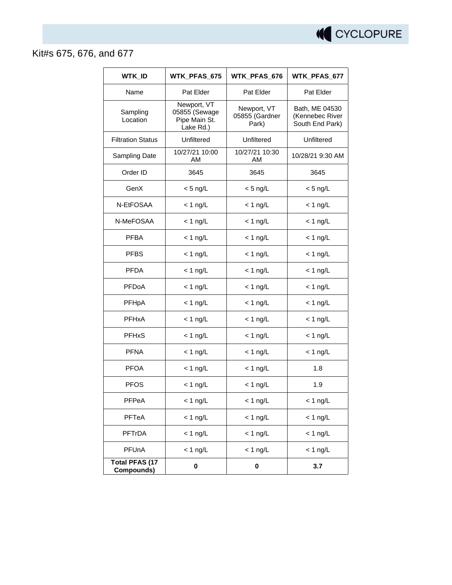

## Kit#s 675, 676, and 677

| <b>WTK_ID</b>                       | WTK PFAS 675                                               | WTK_PFAS_676                           | WTK_PFAS_677                                         |  |
|-------------------------------------|------------------------------------------------------------|----------------------------------------|------------------------------------------------------|--|
| Name                                | Pat Elder                                                  | Pat Elder                              | Pat Elder                                            |  |
| Sampling<br>Location                | Newport, VT<br>05855 (Sewage<br>Pipe Main St.<br>Lake Rd.) | Newport, VT<br>05855 (Gardner<br>Park) | Bath, ME 04530<br>(Kennebec River<br>South End Park) |  |
| <b>Filtration Status</b>            | Unfiltered                                                 | Unfiltered                             | Unfiltered                                           |  |
| Sampling Date                       | 10/27/21 10:00<br>AM                                       | 10/27/21 10:30<br>AM                   | 10/28/21 9:30 AM                                     |  |
| Order ID                            | 3645                                                       | 3645                                   | 3645                                                 |  |
| GenX                                | $<$ 5 ng/L                                                 | $<$ 5 ng/L                             | $<$ 5 ng/L                                           |  |
| N-EtFOSAA                           | $<$ 1 ng/L                                                 | $<$ 1 ng/L                             | $<$ 1 ng/L                                           |  |
| N-MeFOSAA                           | $<$ 1 ng/L                                                 | $<$ 1 ng/L                             | $<$ 1 ng/L                                           |  |
| <b>PFBA</b>                         | $<$ 1 ng/L                                                 | $<$ 1 ng/L                             | $<$ 1 ng/L                                           |  |
| <b>PFBS</b>                         | $<$ 1 ng/L                                                 | $<$ 1 ng/L                             | $<$ 1 ng/L                                           |  |
| <b>PFDA</b>                         | $<$ 1 ng/L                                                 | $<$ 1 ng/L                             | $< 1$ ng/L                                           |  |
| PFDoA                               | $<$ 1 ng/L                                                 | $<$ 1 ng/L                             | $<$ 1 ng/L                                           |  |
| PFHpA                               | $<$ 1 ng/L                                                 | $<$ 1 ng/L                             | $<$ 1 ng/L                                           |  |
| PFHxA                               | $<$ 1 ng/L                                                 | $<$ 1 ng/L                             | $<$ 1 ng/L                                           |  |
| <b>PFHxS</b>                        | $<$ 1 ng/L                                                 | $<$ 1 ng/L                             | $<$ 1 ng/L                                           |  |
| <b>PFNA</b>                         | $<$ 1 ng/L                                                 | $<$ 1 ng/L                             | $<$ 1 ng/L                                           |  |
| <b>PFOA</b>                         | $<$ 1 ng/L                                                 | $<$ 1 ng/L                             | 1.8                                                  |  |
| <b>PFOS</b>                         | $<$ 1 ng/L                                                 | $<$ 1 ng/L                             | 1.9                                                  |  |
| PFPeA                               | $<$ 1 ng/L                                                 | $<$ 1 ng/L                             | $<$ 1 ng/L                                           |  |
| <b>PFTeA</b>                        | $<$ 1 ng/L                                                 | $<$ 1 ng/L                             | $<$ 1 ng/L                                           |  |
| <b>PFTrDA</b>                       | $<$ 1 ng/L                                                 | $<$ 1 ng/L                             | $<$ 1 ng/L                                           |  |
| PFUnA                               | $< 1$ ng/L                                                 | $< 1$ ng/L                             | $<$ 1 ng/L                                           |  |
| <b>Total PFAS (17</b><br>Compounds) | 0                                                          | 0                                      | 3.7                                                  |  |